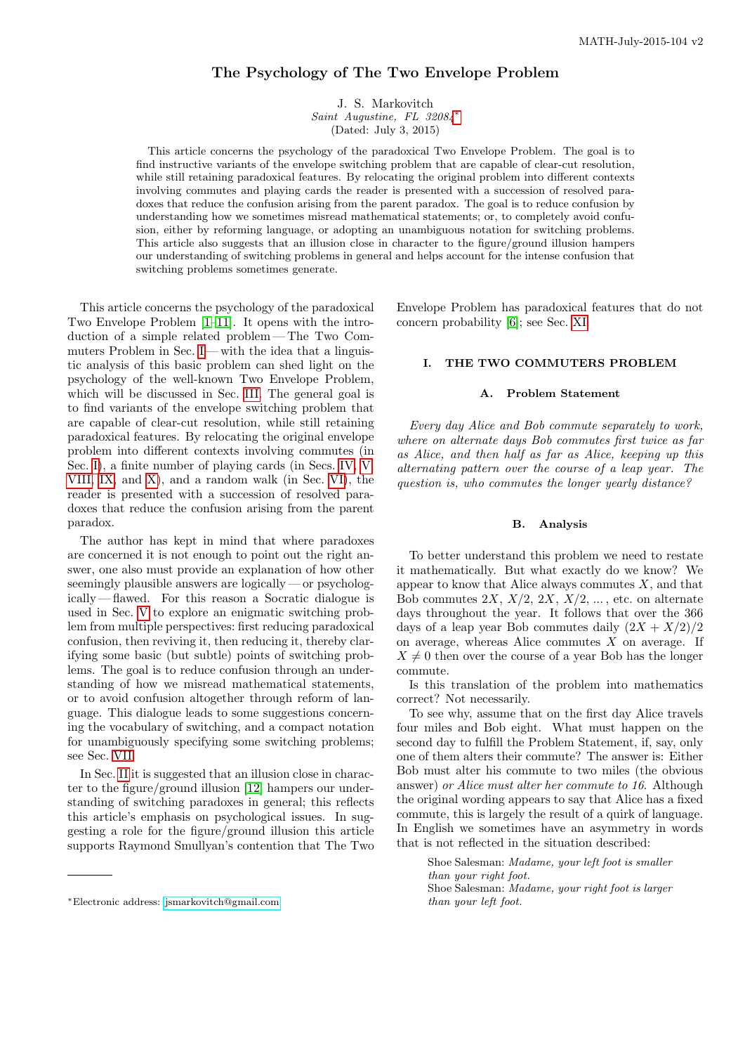# The Psychology of The Two Envelope Problem

J. S. Markovitch Saint Augustine, FL 32084[∗](#page-0-0) (Dated: July 3, 2015)

This article concerns the psychology of the paradoxical Two Envelope Problem. The goal is to find instructive variants of the envelope switching problem that are capable of clear-cut resolution, while still retaining paradoxical features. By relocating the original problem into different contexts involving commutes and playing cards the reader is presented with a succession of resolved paradoxes that reduce the confusion arising from the parent paradox. The goal is to reduce confusion by understanding how we sometimes misread mathematical statements; or, to completely avoid confusion, either by reforming language, or adopting an unambiguous notation for switching problems. This article also suggests that an illusion close in character to the figure/ground illusion hampers our understanding of switching problems in general and helps account for the intense confusion that switching problems sometimes generate.

This article concerns the psychology of the paradoxical Two Envelope Problem [\[1](#page-11-0)[–11\]](#page-12-0). It opens with the introduction of a simple related problem — The Two Com-muters Problem in Sec. [I](#page-0-1)—with the idea that a linguistic analysis of this basic problem can shed light on the psychology of the well-known Two Envelope Problem, which will be discussed in Sec. [III.](#page-2-0) The general goal is to find variants of the envelope switching problem that are capable of clear-cut resolution, while still retaining paradoxical features. By relocating the original envelope problem into different contexts involving commutes (in Sec. [I\)](#page-0-1), a finite number of playing cards (in Secs. [IV,](#page-2-1) [V,](#page-3-0) [VIII,](#page-7-0) [IX,](#page-8-0) and [X\)](#page-9-0), and a random walk (in Sec. [VI\)](#page-5-0), the reader is presented with a succession of resolved paradoxes that reduce the confusion arising from the parent paradox.

The author has kept in mind that where paradoxes are concerned it is not enough to point out the right answer, one also must provide an explanation of how other seemingly plausible answers are logically — or psychologically — flawed. For this reason a Socratic dialogue is used in Sec. [V](#page-3-0) to explore an enigmatic switching problem from multiple perspectives: first reducing paradoxical confusion, then reviving it, then reducing it, thereby clarifying some basic (but subtle) points of switching problems. The goal is to reduce confusion through an understanding of how we misread mathematical statements, or to avoid confusion altogether through reform of language. This dialogue leads to some suggestions concerning the vocabulary of switching, and a compact notation for unambiguously specifying some switching problems; see Sec. [VII.](#page-6-0)

In Sec. [II](#page-1-0) it is suggested that an illusion close in character to the figure/ground illusion [\[12\]](#page-12-1) hampers our understanding of switching paradoxes in general; this reflects this article's emphasis on psychological issues. In suggesting a role for the figure/ground illusion this article supports Raymond Smullyan's contention that The Two

Envelope Problem has paradoxical features that do not concern probability [\[6\]](#page-12-2); see Sec. [XI.](#page-10-0)

# <span id="page-0-1"></span>I. THE TWO COMMUTERS PROBLEM

### A. Problem Statement

Every day Alice and Bob commute separately to work, where on alternate days Bob commutes first twice as far as Alice, and then half as far as Alice, keeping up this alternating pattern over the course of a leap year. The question is, who commutes the longer yearly distance?

#### B. Analysis

To better understand this problem we need to restate it mathematically. But what exactly do we know? We appear to know that Alice always commutes  $X$ , and that Bob commutes  $2X$ ,  $X/2$ ,  $2X$ ,  $X/2$ , ..., etc. on alternate days throughout the year. It follows that over the 366 days of a leap year Bob commutes daily  $(2X + X/2)/2$ on average, whereas Alice commutes  $X$  on average. If  $X \neq 0$  then over the course of a year Bob has the longer commute.

Is this translation of the problem into mathematics correct? Not necessarily.

To see why, assume that on the first day Alice travels four miles and Bob eight. What must happen on the second day to fulfill the Problem Statement, if, say, only one of them alters their commute? The answer is: Either Bob must alter his commute to two miles (the obvious answer) or Alice must alter her commute to 16. Although the original wording appears to say that Alice has a fixed commute, this is largely the result of a quirk of language. In English we sometimes have an asymmetry in words that is not reflected in the situation described:

Shoe Salesman: Madame, your left foot is smaller than your right foot. Shoe Salesman: Madame, your right foot is larger than your left foot.

<span id="page-0-0"></span><sup>∗</sup>Electronic address: [jsmarkovitch@gmail.com](mailto:jsmarkovitch@gmail.com)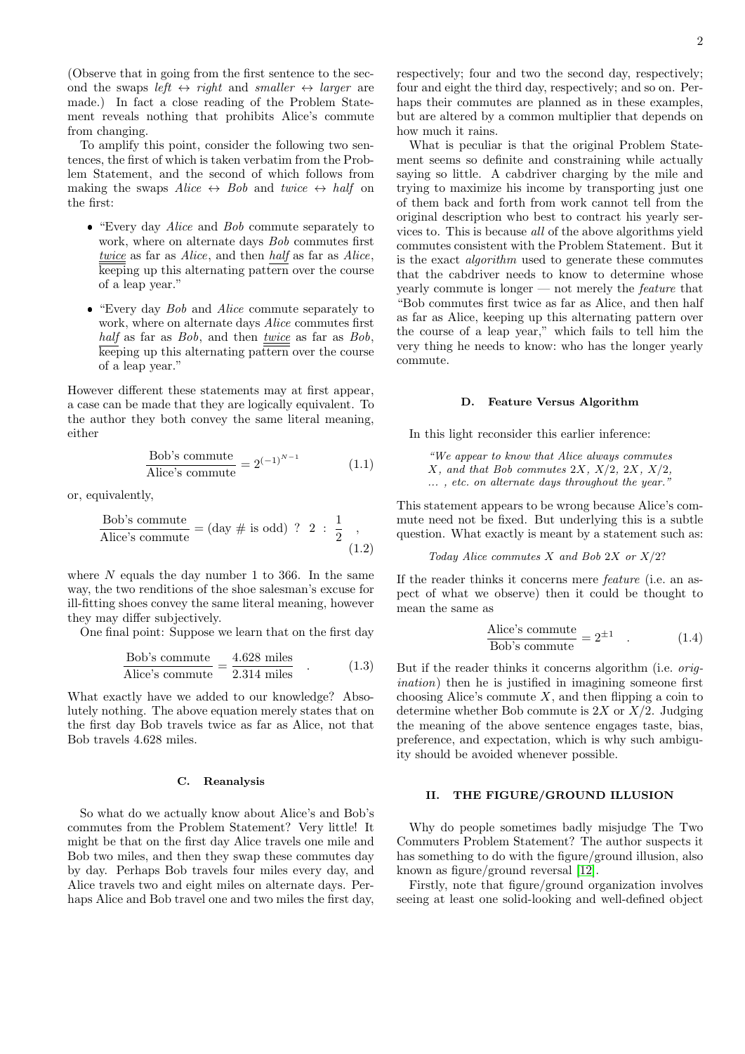(Observe that in going from the first sentence to the second the swaps left  $\leftrightarrow$  right and smaller  $\leftrightarrow$  larger are made.) In fact a close reading of the Problem Statement reveals nothing that prohibits Alice's commute from changing.

To amplify this point, consider the following two sentences, the first of which is taken verbatim from the Problem Statement, and the second of which follows from making the swaps Alice  $\leftrightarrow$  Bob and twice  $\leftrightarrow$  half on the first:

- "Every day Alice and Bob commute separately to work, where on alternate days Bob commutes first twice as far as Alice, and then half as far as Alice, keeping up this alternating pattern over the course of a leap year."
- "Every day Bob and Alice commute separately to work, where on alternate days Alice commutes first half as far as  $Bob$ , and then  $twice$  as far as  $Bob$ , keeping up this alternating pattern over the course of a leap year."

However different these statements may at first appear, a case can be made that they are logically equivalent. To the author they both convey the same literal meaning, either

$$
\frac{\text{Bob's commute}}{\text{Alice's commute}} = 2^{(-1)^{N-1}} \tag{1.1}
$$

or, equivalently,

Bob's commute  
Alice's commute = (day # is odd) ? 2 : 
$$
\frac{1}{2}
$$
, (1.2)

where  $N$  equals the day number 1 to 366. In the same way, the two renditions of the shoe salesman's excuse for ill-fitting shoes convey the same literal meaning, however they may differ subjectively.

One final point: Suppose we learn that on the first day

$$
\frac{\text{Bob's commute}}{\text{Alice's commute}} = \frac{4.628 \text{ miles}}{2.314 \text{ miles}} \quad . \tag{1.3}
$$

What exactly have we added to our knowledge? Absolutely nothing. The above equation merely states that on the first day Bob travels twice as far as Alice, not that Bob travels 4.628 miles.

#### C. Reanalysis

So what do we actually know about Alice's and Bob's commutes from the Problem Statement? Very little! It might be that on the first day Alice travels one mile and Bob two miles, and then they swap these commutes day by day. Perhaps Bob travels four miles every day, and Alice travels two and eight miles on alternate days. Perhaps Alice and Bob travel one and two miles the first day,

respectively; four and two the second day, respectively; four and eight the third day, respectively; and so on. Perhaps their commutes are planned as in these examples, but are altered by a common multiplier that depends on how much it rains.

What is peculiar is that the original Problem Statement seems so definite and constraining while actually saying so little. A cabdriver charging by the mile and trying to maximize his income by transporting just one of them back and forth from work cannot tell from the original description who best to contract his yearly services to. This is because all of the above algorithms yield commutes consistent with the Problem Statement. But it is the exact algorithm used to generate these commutes that the cabdriver needs to know to determine whose yearly commute is longer — not merely the feature that "Bob commutes first twice as far as Alice, and then half as far as Alice, keeping up this alternating pattern over the course of a leap year," which fails to tell him the very thing he needs to know: who has the longer yearly commute.

### D. Feature Versus Algorithm

In this light reconsider this earlier inference:

"We appear to know that Alice always commutes  $X$ , and that Bob commutes 2X,  $X/2$ , 2X,  $X/2$ , ... , etc. on alternate days throughout the year."

This statement appears to be wrong because Alice's commute need not be fixed. But underlying this is a subtle question. What exactly is meant by a statement such as:

Today Alice commutes  $X$  and Bob  $2X$  or  $X/2$ ?

If the reader thinks it concerns mere feature (i.e. an aspect of what we observe) then it could be thought to mean the same as

$$
\frac{\text{Alice's commute}}{\text{Bob's commute}} = 2^{\pm 1} \quad . \tag{1.4}
$$

But if the reader thinks it concerns algorithm (i.e. origination) then he is justified in imagining someone first choosing Alice's commute  $X$ , and then flipping a coin to determine whether Bob commute is  $2X$  or  $X/2$ . Judging the meaning of the above sentence engages taste, bias, preference, and expectation, which is why such ambiguity should be avoided whenever possible.

#### <span id="page-1-0"></span>II. THE FIGURE/GROUND ILLUSION

Why do people sometimes badly misjudge The Two Commuters Problem Statement? The author suspects it has something to do with the figure/ground illusion, also known as figure/ground reversal [\[12\]](#page-12-1).

Firstly, note that figure/ground organization involves seeing at least one solid-looking and well-defined object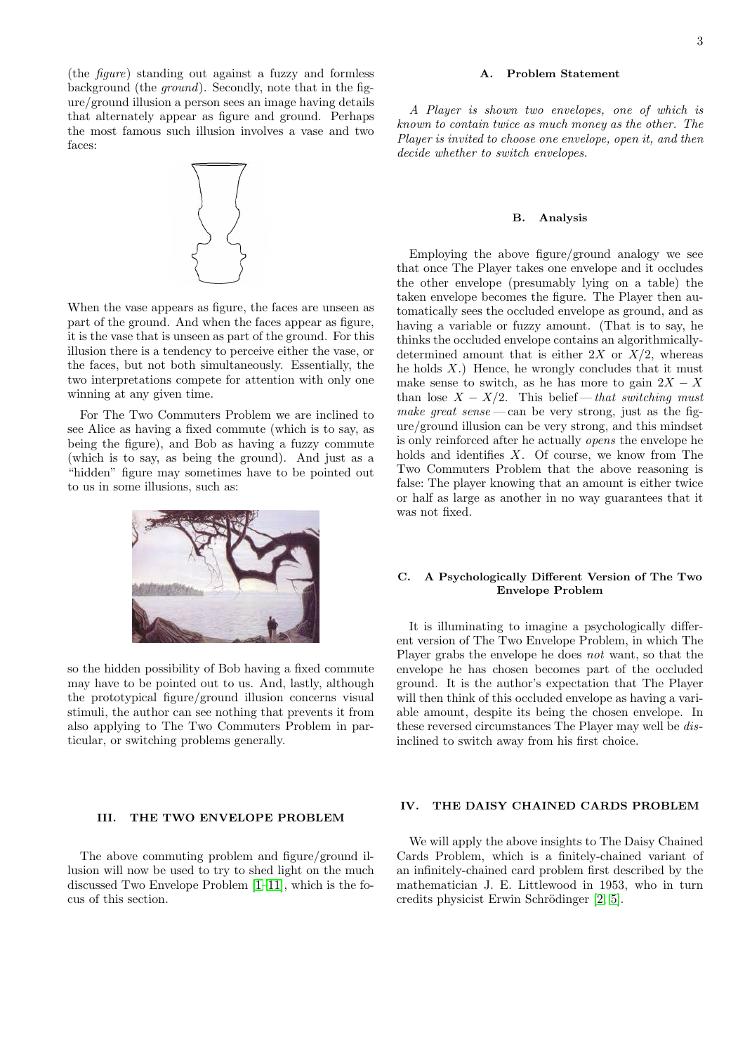(the figure) standing out against a fuzzy and formless background (the ground). Secondly, note that in the figure/ground illusion a person sees an image having details that alternately appear as figure and ground. Perhaps the most famous such illusion involves a vase and two faces:



When the vase appears as figure, the faces are unseen as part of the ground. And when the faces appear as figure, it is the vase that is unseen as part of the ground. For this illusion there is a tendency to perceive either the vase, or the faces, but not both simultaneously. Essentially, the two interpretations compete for attention with only one winning at any given time.

For The Two Commuters Problem we are inclined to see Alice as having a fixed commute (which is to say, as being the figure), and Bob as having a fuzzy commute (which is to say, as being the ground). And just as a "hidden" figure may sometimes have to be pointed out to us in some illusions, such as:



so the hidden possibility of Bob having a fixed commute may have to be pointed out to us. And, lastly, although the prototypical figure/ground illusion concerns visual stimuli, the author can see nothing that prevents it from also applying to The Two Commuters Problem in particular, or switching problems generally.

### <span id="page-2-0"></span>III. THE TWO ENVELOPE PROBLEM

The above commuting problem and figure/ground illusion will now be used to try to shed light on the much discussed Two Envelope Problem [\[1](#page-11-0)[–11\]](#page-12-0), which is the focus of this section.

### A. Problem Statement

A Player is shown two envelopes, one of which is known to contain twice as much money as the other. The Player is invited to choose one envelope, open it, and then decide whether to switch envelopes.

#### B. Analysis

Employing the above figure/ground analogy we see that once The Player takes one envelope and it occludes the other envelope (presumably lying on a table) the taken envelope becomes the figure. The Player then automatically sees the occluded envelope as ground, and as having a variable or fuzzy amount. (That is to say, he thinks the occluded envelope contains an algorithmicallydetermined amount that is either  $2X$  or  $X/2$ , whereas he holds  $X$ .) Hence, he wrongly concludes that it must make sense to switch, as he has more to gain  $2X - X$ than lose  $X - X/2$ . This belief — that switching must make great sense — can be very strong, just as the figure/ground illusion can be very strong, and this mindset is only reinforced after he actually opens the envelope he holds and identifies  $X$ . Of course, we know from The Two Commuters Problem that the above reasoning is false: The player knowing that an amount is either twice or half as large as another in no way guarantees that it was not fixed.

# C. A Psychologically Different Version of The Two Envelope Problem

It is illuminating to imagine a psychologically different version of The Two Envelope Problem, in which The Player grabs the envelope he does not want, so that the envelope he has chosen becomes part of the occluded ground. It is the author's expectation that The Player will then think of this occluded envelope as having a variable amount, despite its being the chosen envelope. In these reversed circumstances The Player may well be disinclined to switch away from his first choice.

## <span id="page-2-1"></span>IV. THE DAISY CHAINED CARDS PROBLEM

We will apply the above insights to The Daisy Chained Cards Problem, which is a finitely-chained variant of an infinitely-chained card problem first described by the mathematician J. E. Littlewood in 1953, who in turn credits physicist Erwin Schrödinger [\[2,](#page-11-1) [5\]](#page-12-3).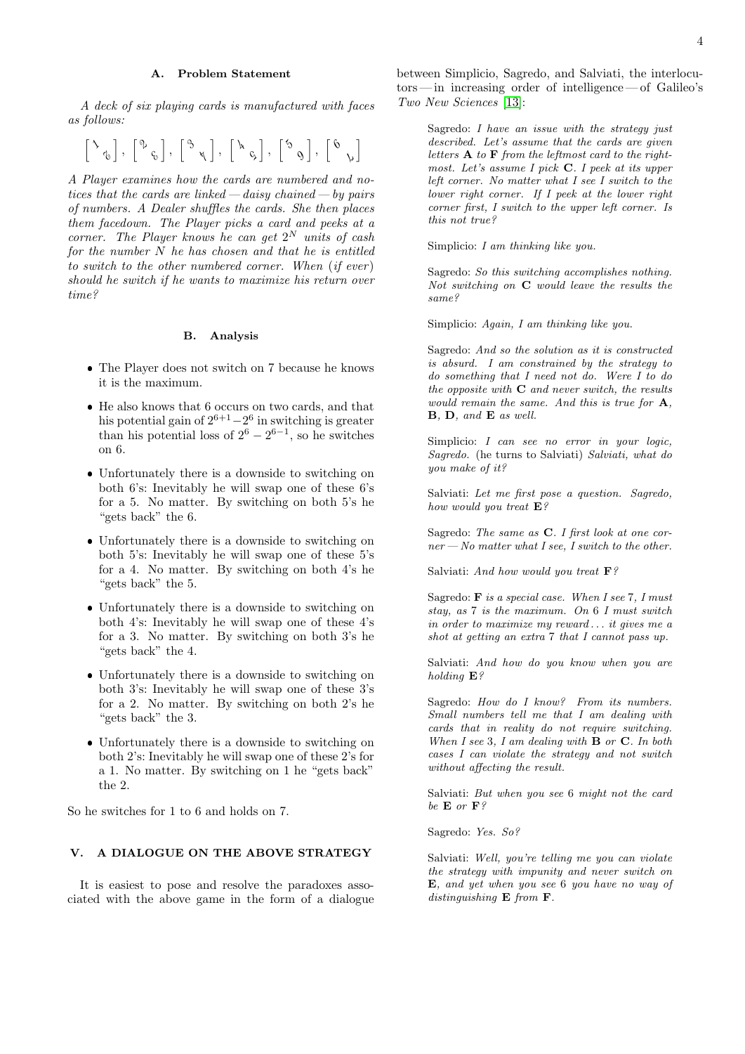### A. Problem Statement

A deck of six playing cards is manufactured with faces as follows:

$$
\left[\begin{smallmatrix} \ddots & & \\ & \ddots & \\ & & \ddots \end{smallmatrix}\right],\ \left[\begin{smallmatrix} \phi & & \\ & \ddots & \\ & & \ddots \end{smallmatrix}\right],\ \left[\begin{smallmatrix} \phi & & \\ & \ddots & \\ & & \ddots \end{smallmatrix}\right],\ \left[\begin{smallmatrix} \phi & & \\ & \ddots & \\ & & \ddots \end{smallmatrix}\right],\ \left[\begin{smallmatrix} \phi & & \\ & \ddots & \\ & & \ddots \end{smallmatrix}\right]
$$

A Player examines how the cards are numbered and notices that the cards are linked—daisy chained— by pairs of numbers. A Dealer shuffles the cards. She then places them facedown. The Player picks a card and peeks at a corner. The Player knows he can get  $2^N$  units of cash for the number  $N$  he has chosen and that he is entitled to switch to the other numbered corner. When  $(if\;ever)$ should he switch if he wants to maximize his return over time?

#### B. Analysis

- The Player does not switch on 7 because he knows it is the maximum.
- He also knows that 6 occurs on two cards, and that his potential gain of  $2^{6+1}-2^6$  in switching is greater than his potential loss of  $2^6 - 2^{6-1}$ , so he switches on 6.
- Unfortunately there is a downside to switching on both 6's: Inevitably he will swap one of these 6's for a 5. No matter. By switching on both 5's he "gets back" the 6.
- Unfortunately there is a downside to switching on both 5's: Inevitably he will swap one of these 5's for a 4. No matter. By switching on both 4's he "gets back" the 5.
- Unfortunately there is a downside to switching on both 4's: Inevitably he will swap one of these 4's for a 3. No matter. By switching on both 3's he "gets back" the 4.
- Unfortunately there is a downside to switching on both 3's: Inevitably he will swap one of these 3's for a 2. No matter. By switching on both 2's he "gets back" the 3.
- Unfortunately there is a downside to switching on both 2's: Inevitably he will swap one of these 2's for a 1. No matter. By switching on 1 he "gets back" the 2.

So he switches for 1 to 6 and holds on 7.

### <span id="page-3-0"></span>V. A DIALOGUE ON THE ABOVE STRATEGY

It is easiest to pose and resolve the paradoxes associated with the above game in the form of a dialogue between Simplicio, Sagredo, and Salviati, the interlocutors — in increasing order of intelligence— of Galileo's Two New Sciences [\[13\]](#page-12-4):

Sagredo: I have an issue with the strategy just described. Let's assume that the cards are given letters  $A$  to  $F$  from the leftmost card to the rightmost. Let's assume I pick C. I peek at its upper left corner. No matter what I see I switch to the lower right corner. If I peek at the lower right corner first, I switch to the upper left corner. Is this not true?

Simplicio: I am thinking like you.

Sagredo: So this switching accomplishes nothing. Not switching on C would leave the results the same?

Simplicio: Again, I am thinking like you.

Sagredo: And so the solution as it is constructed is absurd. I am constrained by the strategy to do something that I need not do. Were I to do the opposite with  $C$  and never switch, the results would remain the same. And this is true for **A**, B, D, and E as well.

Simplicio: I can see no error in your logic, Sagredo. (he turns to Salviati) Salviati, what do you make of it?

Salviati: Let me first pose a question. Sagredo, how would you treat  $\mathbf{E}$ ?

Sagredo: The same as **C**. I first look at one cor $ner - No matter what I see, I switch to the other.$ 

Salviati: And how would you treat  $\mathbf{F}$ ?

Sagredo:  $\bf{F}$  is a special case. When I see 7, I must stay, as 7 is the maximum. On 6 I must switch in order to maximize my reward . . . it gives me a shot at getting an extra 7 that I cannot pass up.

Salviati: And how do you know when you are holding E?

Sagredo: How do I know? From its numbers. Small numbers tell me that I am dealing with cards that in reality do not require switching. When I see 3, I am dealing with  $\bf{B}$  or  $\bf{C}$ . In both cases I can violate the strategy and not switch without affecting the result.

Salviati: But when you see 6 might not the card be  $\mathbf{F}$  or  $\mathbf{F}$ ?

Sagredo: Yes. So?

Salviati: Well, you're telling me you can violate the strategy with impunity and never switch on E, and yet when you see 6 you have no way of distinguishing E from F.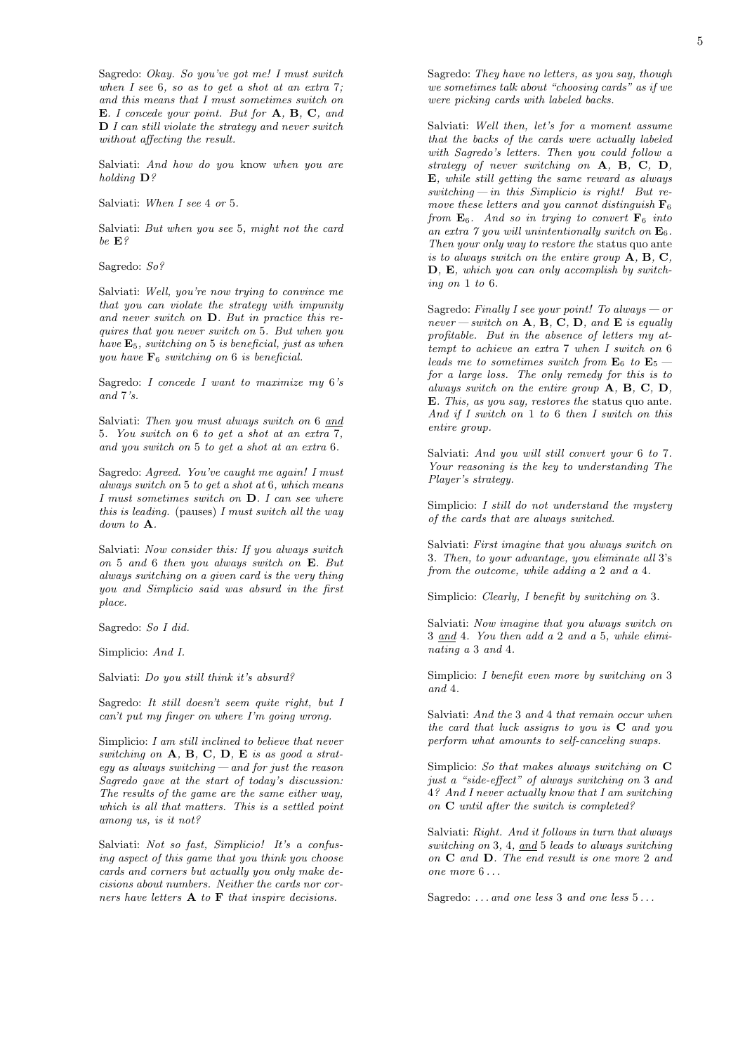Sagredo: Okay. So you've got me! I must switch when I see 6, so as to get a shot at an extra 7; and this means that I must sometimes switch on E. I concede your point. But for **A**, **B**, **C**, and  $\mathbf{D}$  I can still violate the strategy and never switch without affecting the result.

Salviati: And how do you know when you are holding D?

Salviati: When I see 4 or 5.

Salviati: But when you see 5, might not the card be E?

Sagredo: So?

Salviati: Well, you're now trying to convince me that you can violate the strategy with impunity and never switch on D. But in practice this requires that you never switch on 5. But when you have  $\mathbf{E}_5$ , switching on 5 is beneficial, just as when you have  $\mathbf{F}_6$  switching on 6 is beneficial.

Sagredo: I concede I want to maximize my 6's and  $7\frac{?}{s}$ .

Salviati: Then you must always switch on 6 and 5. You switch on 6 to get a shot at an extra 7, and you switch on 5 to get a shot at an extra 6.

Sagredo: Agreed. You've caught me again! I must always switch on 5 to get a shot at 6, which means I must sometimes switch on D. I can see where this is leading. (pauses) I must switch all the way  $down to \mathbf{A}$ 

Salviati: Now consider this: If you always switch on 5 and 6 then you always switch on E. But always switching on a given card is the very thing you and Simplicio said was absurd in the first place.

Sagredo: So I did.

Simplicio: And I.

Salviati: Do you still think it's absurd?

Sagredo: It still doesn't seem quite right, but I can't put my finger on where I'm going wrong.

Simplicio: I am still inclined to believe that never switching on  $A$ ,  $B$ ,  $C$ ,  $D$ ,  $E$  is as good a strat $egy$  as always switching — and for just the reason Sagredo gave at the start of today's discussion: The results of the game are the same either way, which is all that matters. This is a settled point among us, is it not?

Salviati: Not so fast, Simplicio! It's a confusing aspect of this game that you think you choose cards and corners but actually you only make decisions about numbers. Neither the cards nor corners have letters A to F that inspire decisions.

Sagredo: They have no letters, as you say, though we sometimes talk about "choosing cards" as if we were picking cards with labeled backs.

Salviati: Well then, let's for a moment assume that the backs of the cards were actually labeled with Sagredo's letters. Then you could follow a strategy of never switching on A, B, C, D. E, while still getting the same reward as always switching — in this Simplicio is right! But remove these letters and you cannot distinguish  $\mathbf{F}_6$ from  $\mathbf{E}_6$ . And so in trying to convert  $\mathbf{F}_6$  into an extra  $\gamma$  you will unintentionally switch on  $\mathbf{E}_6$ . Then your only way to restore the status quo ante is to always switch on the entire group  $A, B, C$ , D, E, which you can only accomplish by switching on 1 to 6.

Sagredo: Finally I see your point! To always  $-$  or never — switch on  $A, B, C, D$ , and  $E$  is equally profitable. But in the absence of letters my attempt to achieve an extra 7 when I switch on 6 leads me to sometimes switch from  $\mathbf{E}_6$  to  $\mathbf{E}_5$  for a large loss. The only remedy for this is to always switch on the entire group A, B, C, D, E. This, as you say, restores the status quo ante. And if I switch on 1 to 6 then I switch on this entire group.

Salviati: And you will still convert your 6 to 7. Your reasoning is the key to understanding The Player's strategy.

Simplicio: I still do not understand the mystery of the cards that are always switched.

Salviati: First imagine that you always switch on 3. Then, to your advantage, you eliminate all 3's from the outcome, while adding a 2 and a 4.

Simplicio: Clearly, I benefit by switching on 3.

Salviati: Now imagine that you always switch on 3 and 4. You then add a 2 and a 5, while eliminating a 3 and 4.

Simplicio: I benefit even more by switching on 3 and 4.

Salviati: And the 3 and 4 that remain occur when the card that luck assigns to you is C and you perform what amounts to self-canceling swaps.

Simplicio: So that makes always switching on C just a "side-effect" of always switching on 3 and 4? And I never actually know that I am switching on C until after the switch is completed?

Salviati: Right. And it follows in turn that always switching on 3, 4, and 5 leads to always switching on C and D. The end result is one more 2 and one more 6 . . .

Sagredo: ... and one less 3 and one less 5...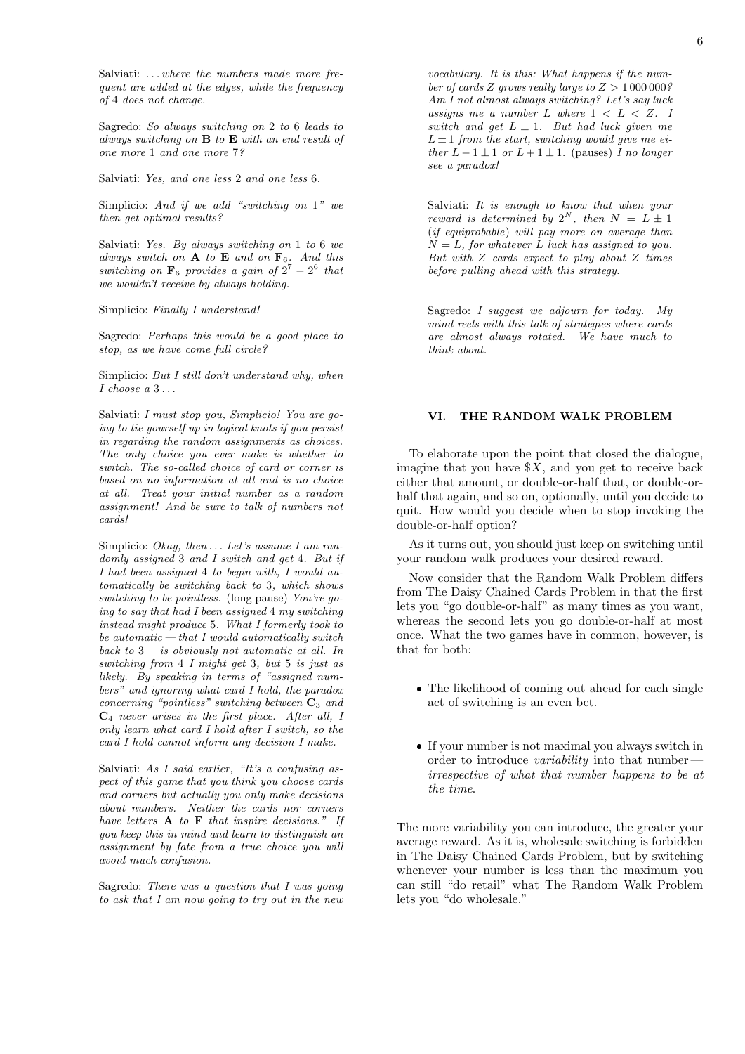Salviati: ... where the numbers made more frequent are added at the edges, while the frequency of 4 does not change.

Sagredo: So always switching on 2 to 6 leads to always switching on  $B$  to  $E$  with an end result of one more 1 and one more 7?

Salviati: Yes, and one less 2 and one less 6.

Simplicio: And if we add "switching on 1" we then get optimal results?

Salviati: Yes. By always switching on 1 to 6 we always switch on  $A$  to  $E$  and on  $F_6$ . And this switching on  $\mathbf{F}_6$  provides a gain of  $2^7 - 2^6$  that we wouldn't receive by always holding.

Simplicio: Finally I understand!

Sagredo: Perhaps this would be a good place to stop, as we have come full circle?

Simplicio: But I still don't understand why, when  $I$  choose  $a$   $3 \ldots$ 

Salviati: I must stop you, Simplicio! You are going to tie yourself up in logical knots if you persist in regarding the random assignments as choices. The only choice you ever make is whether to switch. The so-called choice of card or corner is based on no information at all and is no choice at all. Treat your initial number as a random assignment! And be sure to talk of numbers not cards!

Simplicio: Okay, then  $\dots$  Let's assume I am randomly assigned 3 and I switch and get 4. But if I had been assigned 4 to begin with, I would automatically be switching back to 3, which shows switching to be pointless. (long pause) You're going to say that had I been assigned 4 my switching instead might produce 5. What I formerly took to be automatic  $-$  that I would automatically switch back to  $3 - i$ s obviously not automatic at all. In switching from 4 I might get 3, but 5 is just as likely. By speaking in terms of "assigned numbers" and ignoring what card I hold, the paradox concerning "pointless" switching between  $C_3$  and  $C_4$  never arises in the first place. After all, I only learn what card I hold after I switch, so the card I hold cannot inform any decision I make.

Salviati: As I said earlier, "It's a confusing aspect of this game that you think you choose cards and corners but actually you only make decisions about numbers. Neither the cards nor corners have letters  $A$  to  $F$  that inspire decisions." If you keep this in mind and learn to distinguish an assignment by fate from a true choice you will avoid much confusion.

Sagredo: There was a question that I was going to ask that I am now going to try out in the new

vocabulary. It is this: What happens if the number of cards Z grows really large to  $Z > 1000000$ ? Am I not almost always switching? Let's say luck assigns me a number L where  $1 < L < Z$ . I switch and get  $L \pm 1$ . But had luck given me  $L \pm 1$  from the start, switching would give me either  $L - 1 \pm 1$  or  $L + 1 \pm 1$ . (pauses) I no longer see a paradox!

Salviati: It is enough to know that when your reward is determined by  $2^N$ , then  $N = L \pm 1$ (if equiprobable) will pay more on average than  $N = L$ , for whatever L luck has assigned to you. But with Z cards expect to play about Z times before pulling ahead with this strategy.

Sagredo: I suggest we adjourn for today. My mind reels with this talk of strategies where cards are almost always rotated. We have much to think about.

# <span id="page-5-0"></span>VI. THE RANDOM WALK PROBLEM

To elaborate upon the point that closed the dialogue, imagine that you have  $X$ , and you get to receive back either that amount, or double-or-half that, or double-orhalf that again, and so on, optionally, until you decide to quit. How would you decide when to stop invoking the double-or-half option?

As it turns out, you should just keep on switching until your random walk produces your desired reward.

Now consider that the Random Walk Problem differs from The Daisy Chained Cards Problem in that the first lets you "go double-or-half" as many times as you want, whereas the second lets you go double-or-half at most once. What the two games have in common, however, is that for both:

- The likelihood of coming out ahead for each single act of switching is an even bet.
- If your number is not maximal you always switch in order to introduce variability into that number irrespective of what that number happens to be at the time.

The more variability you can introduce, the greater your average reward. As it is, wholesale switching is forbidden in The Daisy Chained Cards Problem, but by switching whenever your number is less than the maximum you can still "do retail" what The Random Walk Problem lets you "do wholesale."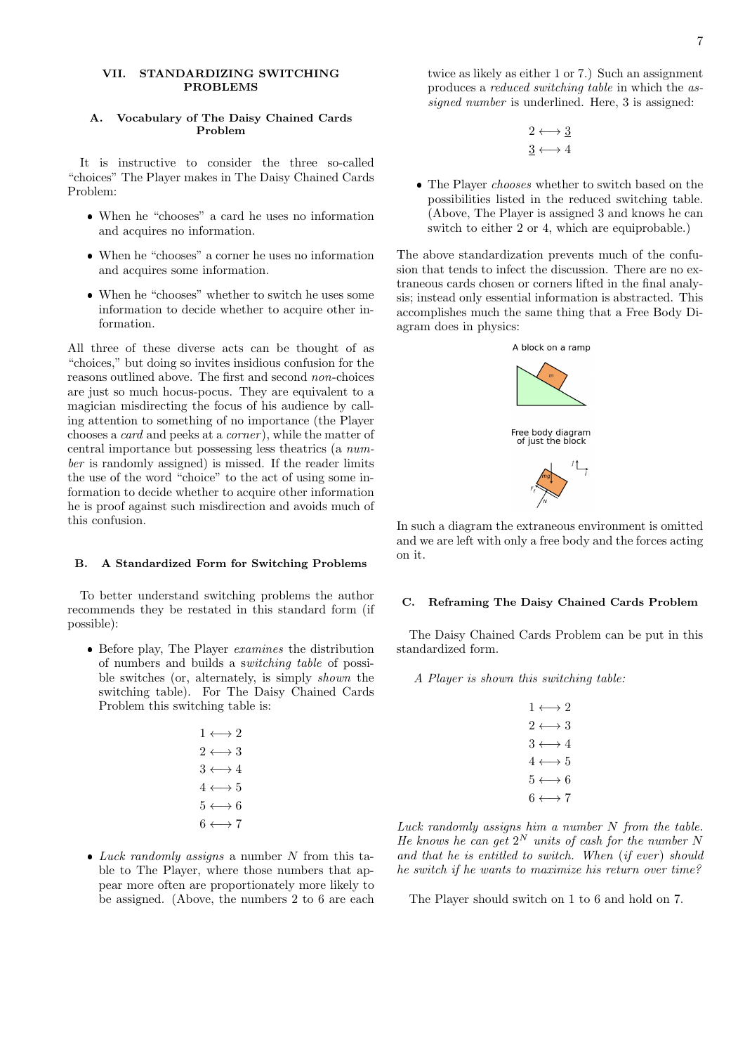### <span id="page-6-0"></span>VII. STANDARDIZING SWITCHING PROBLEMS

# A. Vocabulary of The Daisy Chained Cards Problem

It is instructive to consider the three so-called "choices" The Player makes in The Daisy Chained Cards Problem:

- When he "chooses" a card he uses no information and acquires no information.
- When he "chooses" a corner he uses no information and acquires some information.
- When he "chooses" whether to switch he uses some information to decide whether to acquire other information.

All three of these diverse acts can be thought of as "choices," but doing so invites insidious confusion for the reasons outlined above. The first and second non-choices are just so much hocus-pocus. They are equivalent to a magician misdirecting the focus of his audience by calling attention to something of no importance (the Player chooses a card and peeks at a corner ), while the matter of central importance but possessing less theatrics (a number is randomly assigned) is missed. If the reader limits the use of the word "choice" to the act of using some information to decide whether to acquire other information he is proof against such misdirection and avoids much of this confusion.

### B. A Standardized Form for Switching Problems

To better understand switching problems the author recommends they be restated in this standard form (if possible):

• Before play, The Player *examines* the distribution of numbers and builds a switching table of possible switches (or, alternately, is simply shown the switching table). For The Daisy Chained Cards Problem this switching table is:

| $1 \leftrightarrow 2$     |  |
|---------------------------|--|
| $2 \leftrightarrow 3$     |  |
| $3 \leftrightarrow 4$     |  |
| $4 \longleftrightarrow 5$ |  |
| $5 \longleftrightarrow 6$ |  |
| $6 \longleftrightarrow 7$ |  |

• Luck randomly assigns a number N from this table to The Player, where those numbers that appear more often are proportionately more likely to be assigned. (Above, the numbers 2 to 6 are each

twice as likely as either 1 or 7.) Such an assignment produces a reduced switching table in which the assigned number is underlined. Here, 3 is assigned:

$$
2 \longleftrightarrow \underline{3}
$$
  

$$
\underline{3} \longleftrightarrow 4
$$

• The Player *chooses* whether to switch based on the possibilities listed in the reduced switching table. (Above, The Player is assigned 3 and knows he can switch to either 2 or 4, which are equiprobable.)

The above standardization prevents much of the confusion that tends to infect the discussion. There are no extraneous cards chosen or corners lifted in the final analysis; instead only essential information is abstracted. This accomplishes much the same thing that a Free Body Diagram does in physics:



In such a diagram the extraneous environment is omitted and we are left with only a free body and the forces acting on it.

### C. Reframing The Daisy Chained Cards Problem

The Daisy Chained Cards Problem can be put in this standardized form.

A Player is shown this switching table:

| $1 \leftrightarrow 2$     |  |
|---------------------------|--|
| $2 \leftrightarrow 3$     |  |
| $3 \longleftrightarrow 4$ |  |
| $4 \longleftrightarrow 5$ |  |
| $5 \longleftrightarrow 6$ |  |
| $6 \leftrightarrow 7$     |  |

Luck randomly assigns him a number N from the table. He knows he can get  $2^N$  units of cash for the number N and that he is entitled to switch. When  $(if\;ever)$  should he switch if he wants to maximize his return over time?

The Player should switch on 1 to 6 and hold on 7.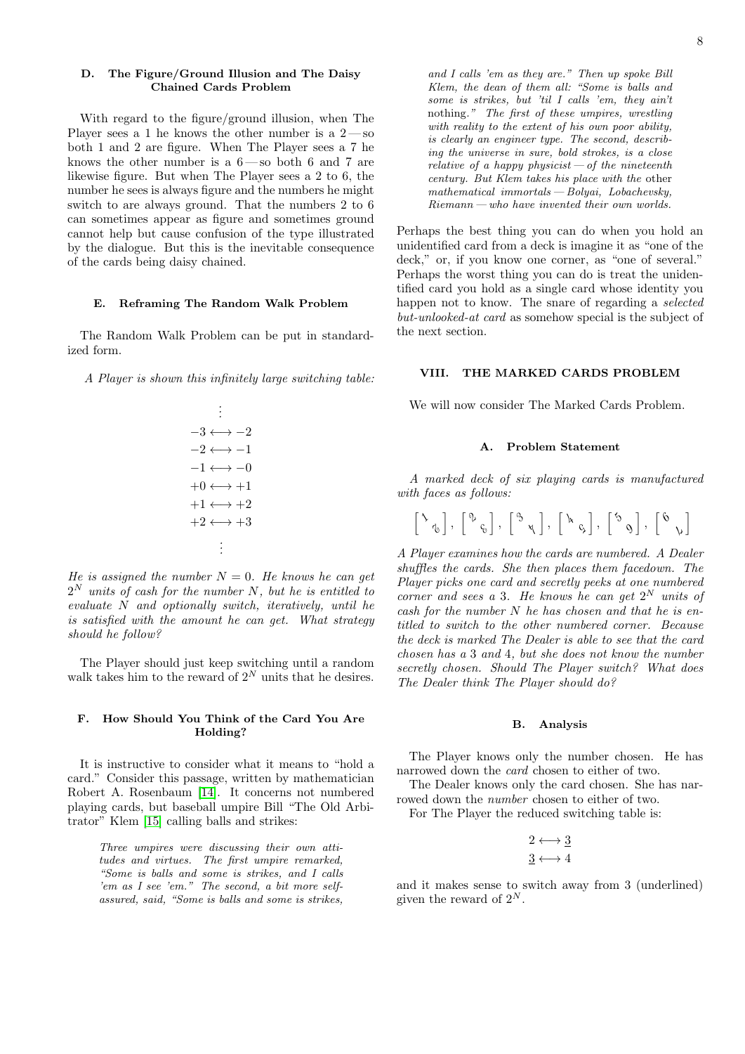### D. The Figure/Ground Illusion and The Daisy Chained Cards Problem

With regard to the figure/ground illusion, when The Player sees a 1 he knows the other number is a  $2-\text{so}$ both 1 and 2 are figure. When The Player sees a 7 he knows the other number is a 6— so both 6 and 7 are likewise figure. But when The Player sees a 2 to 6, the number he sees is always figure and the numbers he might switch to are always ground. That the numbers 2 to 6 can sometimes appear as figure and sometimes ground cannot help but cause confusion of the type illustrated by the dialogue. But this is the inevitable consequence of the cards being daisy chained.

#### E. Reframing The Random Walk Problem

The Random Walk Problem can be put in standardized form.

A Player is shown this infinitely large switching table:

$$
\begin{array}{c}\n\vdots \\
-3 \leftrightarrow -2 \\
-2 \leftrightarrow -1 \\
-1 \leftrightarrow -0 \\
+0 \leftrightarrow +1 \\
+1 \leftrightarrow +2 \\
+2 \leftrightarrow +3 \\
\vdots\n\end{array}
$$

He is assigned the number  $N = 0$ . He knows he can get  $2^N$  units of cash for the number N, but he is entitled to evaluate N and optionally switch, iteratively, until he is satisfied with the amount he can get. What strategy should he follow?

The Player should just keep switching until a random walk takes him to the reward of  $2^N$  units that he desires.

### F. How Should You Think of the Card You Are Holding?

It is instructive to consider what it means to "hold a card." Consider this passage, written by mathematician Robert A. Rosenbaum [\[14\]](#page-12-5). It concerns not numbered playing cards, but baseball umpire Bill "The Old Arbitrator" Klem [\[15\]](#page-12-6) calling balls and strikes:

> Three umpires were discussing their own attitudes and virtues. The first umpire remarked, "Some is balls and some is strikes, and I calls 'em as I see 'em." The second, a bit more selfassured, said, "Some is balls and some is strikes,

and I calls 'em as they are." Then up spoke Bill Klem, the dean of them all: "Some is balls and some is strikes, but 'til I calls 'em, they ain't nothing." The first of these umpires, wrestling with reality to the extent of his own poor ability, is clearly an engineer type. The second, describing the universe in sure, bold strokes, is a close relative of a happy physicist  $-$  of the nineteenth century. But Klem takes his place with the other mathematical immortals — Bolyai, Lobachevsky, Riemann — who have invented their own worlds.

Perhaps the best thing you can do when you hold an unidentified card from a deck is imagine it as "one of the deck," or, if you know one corner, as "one of several." Perhaps the worst thing you can do is treat the unidentified card you hold as a single card whose identity you happen not to know. The snare of regarding a selected but-unlooked-at card as somehow special is the subject of the next section.

# <span id="page-7-0"></span>VIII. THE MARKED CARDS PROBLEM

We will now consider The Marked Cards Problem.

### A. Problem Statement

A marked deck of six playing cards is manufactured with faces as follows:

$$
\left[\begin{array}{cc} \lambda & 0 \\ 0 & 0 \end{array}\right], \left[\begin{array}{cc} \lambda & 0 \\ 0 & \lambda \end{array}\right], \left[\begin{array}{cc} \lambda & 0 \\ 0 & \lambda \end{array}\right], \left[\begin{array}{cc} \lambda & 0 \\ 0 & \lambda \end{array}\right], \left[\begin{array}{cc} \lambda & 0 \\ 0 & \lambda \end{array}\right]
$$

A Player examines how the cards are numbered. A Dealer shuffles the cards. She then places them facedown. The Player picks one card and secretly peeks at one numbered corner and sees a 3. He knows he can get  $2^N$  units of  $\cosh$  for the number N he has chosen and that he is entitled to switch to the other numbered corner. Because the deck is marked The Dealer is able to see that the card chosen has a 3 and 4, but she does not know the number secretly chosen. Should The Player switch? What does The Dealer think The Player should do?

### B. Analysis

The Player knows only the number chosen. He has narrowed down the card chosen to either of two.

The Dealer knows only the card chosen. She has narrowed down the number chosen to either of two.

For The Player the reduced switching table is:

$$
2 \longleftrightarrow \underline{3}
$$
  

$$
\underline{3} \longleftrightarrow 4
$$

and it makes sense to switch away from 3 (underlined) given the reward of  $2^N$ .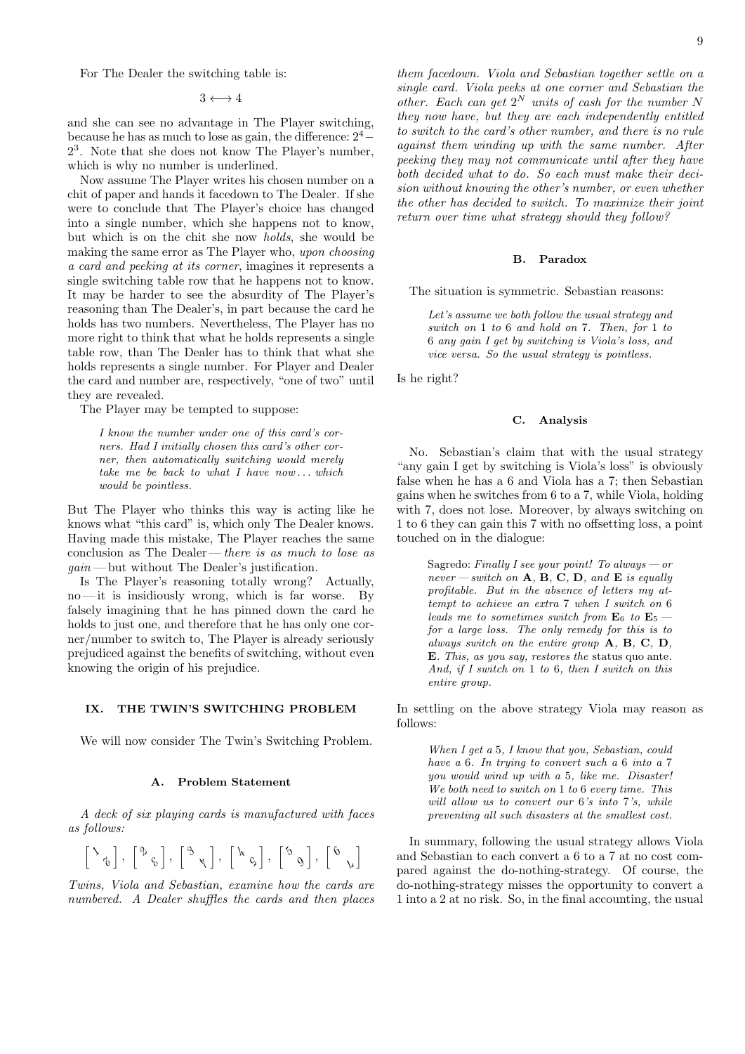For The Dealer the switching table is:

 $3 \leftrightarrow 4$ 

and she can see no advantage in The Player switching, because he has as much to lose as gain, the difference:  $2^4-$ 2 3 . Note that she does not know The Player's number, which is why no number is underlined.

Now assume The Player writes his chosen number on a chit of paper and hands it facedown to The Dealer. If she were to conclude that The Player's choice has changed into a single number, which she happens not to know, but which is on the chit she now holds, she would be making the same error as The Player who, upon choosing a card and peeking at its corner, imagines it represents a single switching table row that he happens not to know. It may be harder to see the absurdity of The Player's reasoning than The Dealer's, in part because the card he holds has two numbers. Nevertheless, The Player has no more right to think that what he holds represents a single table row, than The Dealer has to think that what she holds represents a single number. For Player and Dealer the card and number are, respectively, "one of two" until they are revealed.

The Player may be tempted to suppose:

I know the number under one of this card's corners. Had I initially chosen this card's other corner, then automatically switching would merely take me be back to what  $I$  have now ... which would be pointless.

But The Player who thinks this way is acting like he knows what "this card" is, which only The Dealer knows. Having made this mistake, The Player reaches the same conclusion as The Dealer — there is as much to lose as  $gain$  — but without The Dealer's justification.

Is The Player's reasoning totally wrong? Actually,  $no$ —it is insidiously wrong, which is far worse. By falsely imagining that he has pinned down the card he holds to just one, and therefore that he has only one corner/number to switch to, The Player is already seriously prejudiced against the benefits of switching, without even knowing the origin of his prejudice.

### <span id="page-8-0"></span>IX. THE TWIN'S SWITCHING PROBLEM

We will now consider The Twin's Switching Problem.

#### A. Problem Statement

A deck of six playing cards is manufactured with faces as follows:

$$
\left[ \begin{array}{c} \lambda \\ \gamma \\ \gamma \end{array} \right],\ \left[ \begin{array}{c} \gamma \\ \gamma \\ \gamma \end{array} \right],\ \left[ \begin{array}{c} \gamma \\ \gamma \\ \gamma \end{array} \right],\ \left[ \begin{array}{c} \lambda \\ \gamma \\ \gamma \end{array} \right],\ \left[ \begin{array}{c} \gamma \\ \gamma \\ \gamma \end{array} \right],\ \left[ \begin{array}{c} \gamma \\ \gamma \\ \gamma \end{array} \right]
$$

Twins, Viola and Sebastian, examine how the cards are numbered. A Dealer shuffles the cards and then places them facedown. Viola and Sebastian together settle on a single card. Viola peeks at one corner and Sebastian the other. Each can get  $2^N$  units of cash for the number N they now have, but they are each independently entitled to switch to the card's other number, and there is no rule against them winding up with the same number. After peeking they may not communicate until after they have both decided what to do. So each must make their decision without knowing the other's number, or even whether the other has decided to switch. To maximize their joint return over time what strategy should they follow?

#### B. Paradox

The situation is symmetric. Sebastian reasons:

Let's assume we both follow the usual strategy and switch on 1 to 6 and hold on 7. Then, for 1 to 6 any gain I get by switching is Viola's loss, and vice versa. So the usual strategy is pointless.

Is he right?

#### C. Analysis

No. Sebastian's claim that with the usual strategy "any gain I get by switching is Viola's loss" is obviously false when he has a 6 and Viola has a 7; then Sebastian gains when he switches from 6 to a 7, while Viola, holding with 7, does not lose. Moreover, by always switching on 1 to 6 they can gain this 7 with no offsetting loss, a point touched on in the dialogue:

Sagredo: Finally I see your point! To always  $-$  or never — switch on  $A$ ,  $B$ ,  $C$ ,  $D$ , and  $E$  is equally profitable. But in the absence of letters my attempt to achieve an extra 7 when I switch on 6 leads me to sometimes switch from  $\mathbf{E}_6$  to  $\mathbf{E}_5$  for a large loss. The only remedy for this is to always switch on the entire group A, B, C, D, E. This, as you say, restores the status quo ante. And, if I switch on 1 to 6, then I switch on this entire group.

In settling on the above strategy Viola may reason as follows:

When I get a 5, I know that you, Sebastian, could have a 6. In trying to convert such a 6 into a 7 you would wind up with a 5, like me. Disaster! We both need to switch on 1 to 6 every time. This will allow us to convert our 6's into 7's, while preventing all such disasters at the smallest cost.

In summary, following the usual strategy allows Viola and Sebastian to each convert a 6 to a 7 at no cost compared against the do-nothing-strategy. Of course, the do-nothing-strategy misses the opportunity to convert a 1 into a 2 at no risk. So, in the final accounting, the usual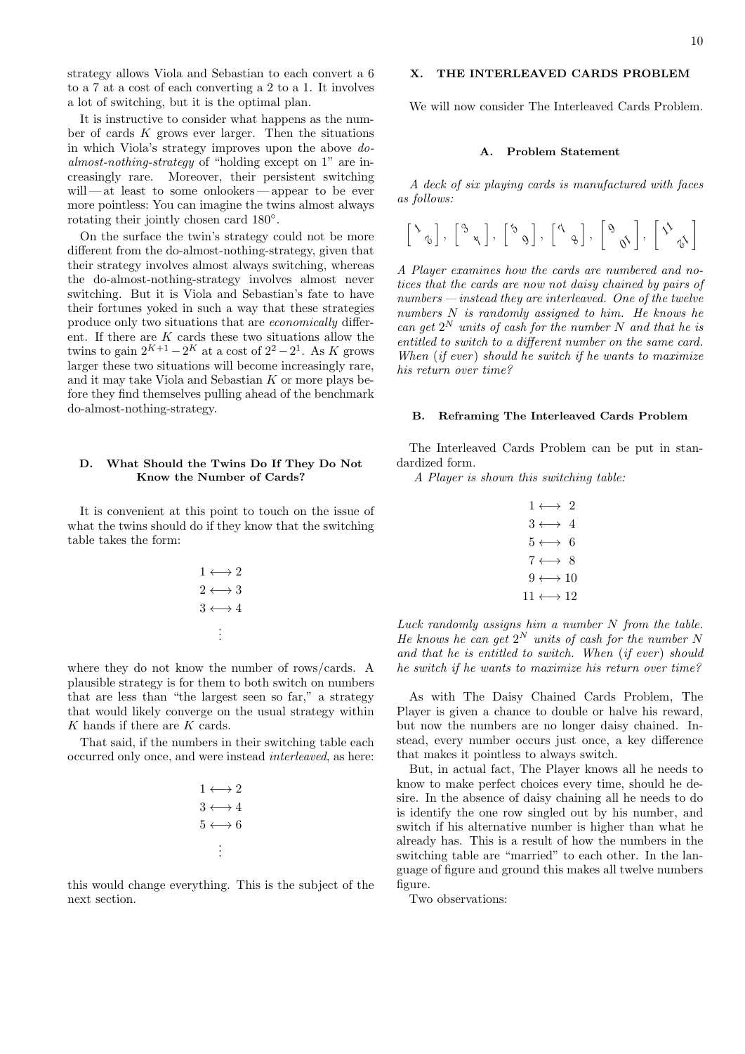strategy allows Viola and Sebastian to each convert a 6 to a 7 at a cost of each converting a 2 to a 1. It involves a lot of switching, but it is the optimal plan.

It is instructive to consider what happens as the number of cards  $K$  grows ever larger. Then the situations in which Viola's strategy improves upon the above doalmost-nothing-strategy of "holding except on 1" are increasingly rare. Moreover, their persistent switching will — at least to some onlookers — appear to be ever more pointless: You can imagine the twins almost always rotating their jointly chosen card 180◦ .

On the surface the twin's strategy could not be more different from the do-almost-nothing-strategy, given that their strategy involves almost always switching, whereas the do-almost-nothing-strategy involves almost never switching. But it is Viola and Sebastian's fate to have their fortunes yoked in such a way that these strategies produce only two situations that are economically different. If there are  $K$  cards these two situations allow the twins to gain  $2^{K+1} - 2^{K}$  at a cost of  $2^{2} - 2^{1}$ . As K grows larger these two situations will become increasingly rare, and it may take Viola and Sebastian K or more plays before they find themselves pulling ahead of the benchmark do-almost-nothing-strategy.

# D. What Should the Twins Do If They Do Not Know the Number of Cards?

It is convenient at this point to touch on the issue of what the twins should do if they know that the switching table takes the form:

$$
\begin{array}{c}\n1 \longleftrightarrow 2 \\
2 \longleftrightarrow 3 \\
3 \longleftrightarrow 4 \\
\vdots\n\end{array}
$$

where they do not know the number of rows/cards. A plausible strategy is for them to both switch on numbers that are less than "the largest seen so far," a strategy that would likely converge on the usual strategy within K hands if there are K cards.

That said, if the numbers in their switching table each occurred only once, and were instead interleaved, as here:

$$
1 \longleftrightarrow 2
$$
  
 
$$
3 \longleftrightarrow 4
$$
  
 
$$
5 \longleftrightarrow 6
$$
  
 
$$
\vdots
$$

this would change everything. This is the subject of the next section.

# <span id="page-9-0"></span>X. THE INTERLEAVED CARDS PROBLEM

We will now consider The Interleaved Cards Problem.

# A. Problem Statement

A deck of six playing cards is manufactured with faces as follows:

$$
\left[ \begin{array}{cc} \lambda & 0 \\ \lambda & 0 \end{array} \right], \ \left[ \begin{array}{cc} \lambda & 0 \\ 0 & \lambda \end{array} \right], \ \left[ \begin{array}{cc} \lambda & 0 \\ 0 & \lambda \end{array} \right], \ \left[ \begin{array}{cc} \lambda & 0 \\ 0 & \lambda \end{array} \right], \ \left[ \begin{array}{cc} \lambda & 0 \\ 0 & \lambda \end{array} \right]
$$

A Player examines how the cards are numbered and notices that the cards are now not daisy chained by pairs of  $numbers—instead they are interleaved. One of the twelve$ numbers N is randomly assigned to him. He knows he can get  $2^N$  units of cash for the number N and that he is entitled to switch to a different number on the same card. When  $(if\; ever)$  should he switch if he wants to maximize his return over time?

# B. Reframing The Interleaved Cards Problem

The Interleaved Cards Problem can be put in standardized form.

A Player is shown this switching table:

|  | $1 \leftrightarrow 2$      |  |
|--|----------------------------|--|
|  | $3 \leftrightarrow 4$      |  |
|  | $5 \longleftrightarrow 6$  |  |
|  | $7\longleftrightarrow~8$   |  |
|  | $9 \longleftrightarrow 10$ |  |
|  | $11 \leftrightarrow 12$    |  |

Luck randomly assigns him a number N from the table. He knows he can get  $2^N$  units of cash for the number N and that he is entitled to switch. When  $(if\;ever)$  should he switch if he wants to maximize his return over time?

As with The Daisy Chained Cards Problem, The Player is given a chance to double or halve his reward, but now the numbers are no longer daisy chained. Instead, every number occurs just once, a key difference that makes it pointless to always switch.

But, in actual fact, The Player knows all he needs to know to make perfect choices every time, should he desire. In the absence of daisy chaining all he needs to do is identify the one row singled out by his number, and switch if his alternative number is higher than what he already has. This is a result of how the numbers in the switching table are "married" to each other. In the language of figure and ground this makes all twelve numbers figure.

Two observations: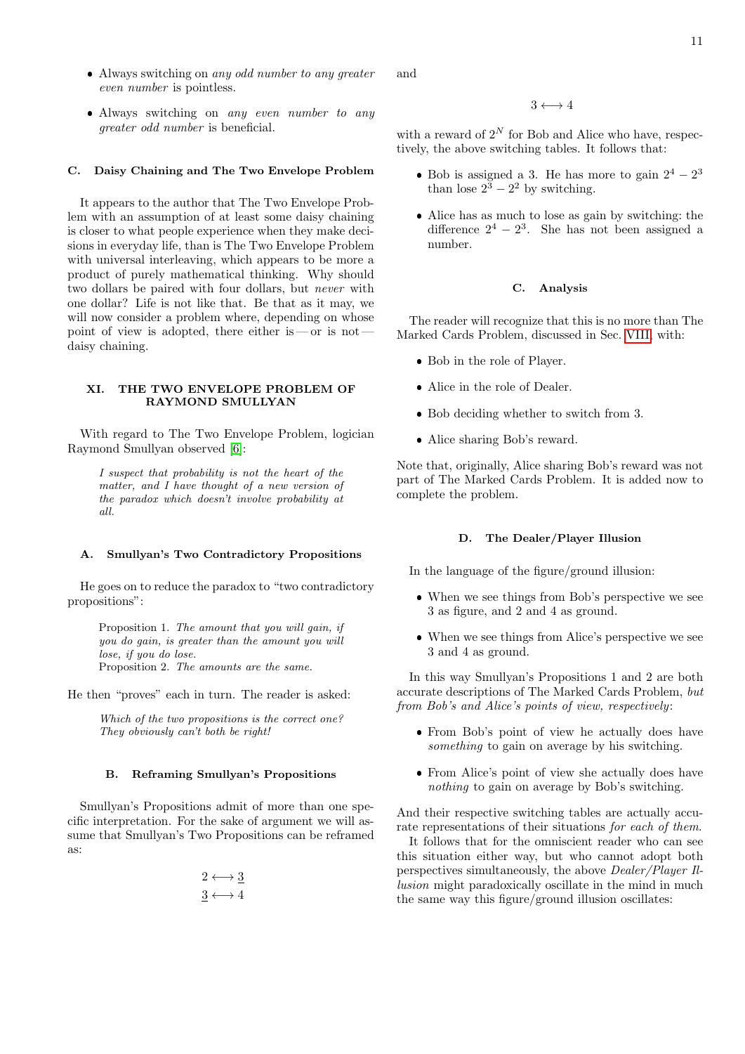- Always switching on any odd number to any greater even number is pointless.
- Always switching on any even number to any greater odd number is beneficial.

### C. Daisy Chaining and The Two Envelope Problem

It appears to the author that The Two Envelope Problem with an assumption of at least some daisy chaining is closer to what people experience when they make decisions in everyday life, than is The Two Envelope Problem with universal interleaving, which appears to be more a product of purely mathematical thinking. Why should two dollars be paired with four dollars, but never with one dollar? Life is not like that. Be that as it may, we will now consider a problem where, depending on whose point of view is adopted, there either is — or is not daisy chaining.

### <span id="page-10-0"></span>XI. THE TWO ENVELOPE PROBLEM OF RAYMOND SMULLYAN

With regard to The Two Envelope Problem, logician Raymond Smullyan observed [\[6\]](#page-12-2):

I suspect that probability is not the heart of the matter, and I have thought of a new version of the paradox which doesn't involve probability at all.

# A. Smullyan's Two Contradictory Propositions

He goes on to reduce the paradox to "two contradictory propositions":

> Proposition 1. The amount that you will gain, if you do gain, is greater than the amount you will lose, if you do lose. Proposition 2. The amounts are the same.

He then "proves" each in turn. The reader is asked:

Which of the two propositions is the correct one? They obviously can't both be right!

# B. Reframing Smullyan's Propositions

Smullyan's Propositions admit of more than one specific interpretation. For the sake of argument we will assume that Smullyan's Two Propositions can be reframed as:

$$
2 \longleftrightarrow \underline{3}
$$
  

$$
\underline{3} \longleftrightarrow 4
$$

and

### $3 \leftrightarrow 4$

with a reward of  $2^N$  for Bob and Alice who have, respectively, the above switching tables. It follows that:

- Bob is assigned a 3. He has more to gain  $2^4 2^3$ than lose  $2^3 - 2^2$  by switching.
- Alice has as much to lose as gain by switching: the difference  $2^4 - 2^3$ . She has not been assigned a number.

#### C. Analysis

The reader will recognize that this is no more than The Marked Cards Problem, discussed in Sec. [VIII,](#page-7-0) with:

- Bob in the role of Player.
- Alice in the role of Dealer.
- Bob deciding whether to switch from 3.
- Alice sharing Bob's reward.

Note that, originally, Alice sharing Bob's reward was not part of The Marked Cards Problem. It is added now to complete the problem.

### D. The Dealer/Player Illusion

In the language of the figure/ground illusion:

- When we see things from Bob's perspective we see 3 as figure, and 2 and 4 as ground.
- When we see things from Alice's perspective we see 3 and 4 as ground.

In this way Smullyan's Propositions 1 and 2 are both accurate descriptions of The Marked Cards Problem, but from Bob's and Alice's points of view, respectively:

- From Bob's point of view he actually does have something to gain on average by his switching.
- From Alice's point of view she actually does have nothing to gain on average by Bob's switching.

And their respective switching tables are actually accurate representations of their situations for each of them.

It follows that for the omniscient reader who can see this situation either way, but who cannot adopt both perspectives simultaneously, the above Dealer/Player Illusion might paradoxically oscillate in the mind in much the same way this figure/ground illusion oscillates: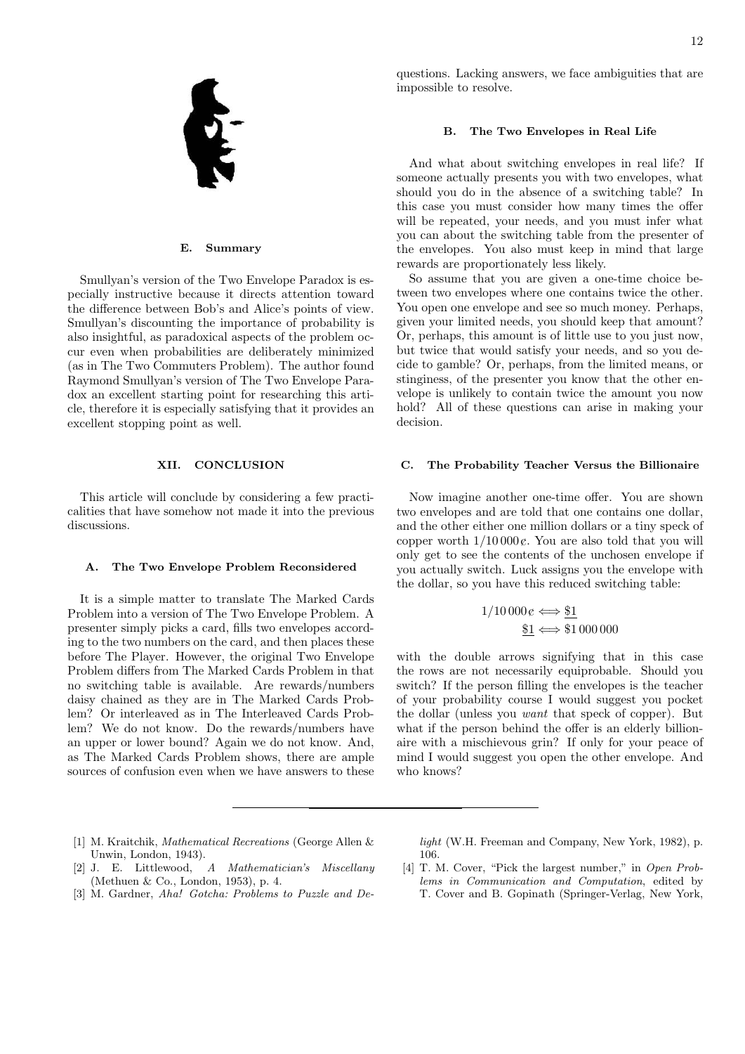

#### E. Summary

Smullyan's version of the Two Envelope Paradox is especially instructive because it directs attention toward the difference between Bob's and Alice's points of view. Smullyan's discounting the importance of probability is also insightful, as paradoxical aspects of the problem occur even when probabilities are deliberately minimized (as in The Two Commuters Problem). The author found Raymond Smullyan's version of The Two Envelope Paradox an excellent starting point for researching this article, therefore it is especially satisfying that it provides an excellent stopping point as well.

### XII. CONCLUSION

This article will conclude by considering a few practicalities that have somehow not made it into the previous discussions.

#### A. The Two Envelope Problem Reconsidered

It is a simple matter to translate The Marked Cards Problem into a version of The Two Envelope Problem. A presenter simply picks a card, fills two envelopes according to the two numbers on the card, and then places these before The Player. However, the original Two Envelope Problem differs from The Marked Cards Problem in that no switching table is available. Are rewards/numbers daisy chained as they are in The Marked Cards Problem? Or interleaved as in The Interleaved Cards Problem? We do not know. Do the rewards/numbers have an upper or lower bound? Again we do not know. And, as The Marked Cards Problem shows, there are ample sources of confusion even when we have answers to these questions. Lacking answers, we face ambiguities that are impossible to resolve.

#### B. The Two Envelopes in Real Life

And what about switching envelopes in real life? If someone actually presents you with two envelopes, what should you do in the absence of a switching table? In this case you must consider how many times the offer will be repeated, your needs, and you must infer what you can about the switching table from the presenter of the envelopes. You also must keep in mind that large rewards are proportionately less likely.

So assume that you are given a one-time choice between two envelopes where one contains twice the other. You open one envelope and see so much money. Perhaps, given your limited needs, you should keep that amount? Or, perhaps, this amount is of little use to you just now, but twice that would satisfy your needs, and so you decide to gamble? Or, perhaps, from the limited means, or stinginess, of the presenter you know that the other envelope is unlikely to contain twice the amount you now hold? All of these questions can arise in making your decision.

#### C. The Probability Teacher Versus the Billionaire

Now imagine another one-time offer. You are shown two envelopes and are told that one contains one dollar, and the other either one million dollars or a tiny speck of copper worth  $1/10000 \rho$ . You are also told that you will only get to see the contents of the unchosen envelope if you actually switch. Luck assigns you the envelope with the dollar, so you have this reduced switching table:

$$
1/10\,000\,\varepsilon \Longleftrightarrow \underline{\$1}_{\quad \ \ \, \underline{\$1}} \Longleftrightarrow 1\,000\,000
$$

with the double arrows signifying that in this case the rows are not necessarily equiprobable. Should you switch? If the person filling the envelopes is the teacher of your probability course I would suggest you pocket the dollar (unless you want that speck of copper). But what if the person behind the offer is an elderly billionaire with a mischievous grin? If only for your peace of mind I would suggest you open the other envelope. And who knows?

- <span id="page-11-0"></span>[1] M. Kraitchik, Mathematical Recreations (George Allen & Unwin, London, 1943).
- <span id="page-11-1"></span>[2] J. E. Littlewood, A Mathematician's Miscellany (Methuen & Co., London, 1953), p. 4.
- [3] M. Gardner, Aha! Gotcha: Problems to Puzzle and De-

light (W.H. Freeman and Company, New York, 1982), p. 106.

[4] T. M. Cover, "Pick the largest number," in Open Problems in Communication and Computation, edited by T. Cover and B. Gopinath (Springer-Verlag, New York,